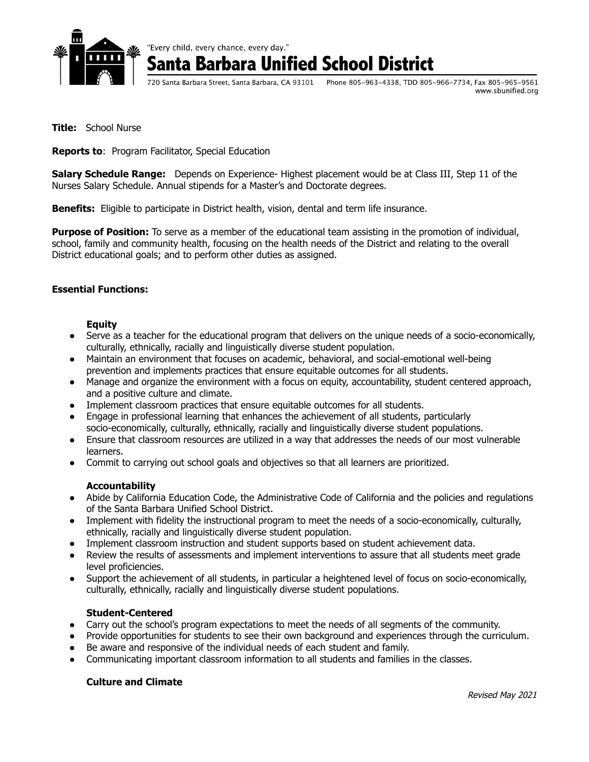

"Every child, every chance, every day."

**Barbara Unified School District** 

720 Santa Barbara Street, Santa Barbara, CA 93101 Phone 805-963-4338, TDD 805-966-7734, Fax 805-965-9561 www.sbunified.org

**Title:** School Nurse

**Reports to**: Program Facilitator, Special Education

**Salary Schedule Range:** Depends on Experience- Highest placement would be at Class III, Step 11 of the Nurses Salary Schedule. Annual stipends for a Master's and Doctorate degrees.

**Benefits:** Eligible to participate in District health, vision, dental and term life insurance.

**Purpose of Position:** To serve as a member of the educational team assisting in the promotion of individual, school, family and community health, focusing on the health needs of the District and relating to the overall District educational goals; and to perform other duties as assigned.

## **Essential Functions:**

#### **Equity**

- Serve as a teacher for the educational program that delivers on the unique needs of a socio-economically, culturally, ethnically, racially and linguistically diverse student population.
- Maintain an environment that focuses on academic, behavioral, and social-emotional well-being prevention and implements practices that ensure equitable outcomes for all students.
- Manage and organize the environment with a focus on equity, accountability, student centered approach, and a positive culture and climate.
- Implement classroom practices that ensure equitable outcomes for all students.
- Engage in professional learning that enhances the achievement of all students, particularly socio-economically, culturally, ethnically, racially and linguistically diverse student populations.
- Ensure that classroom resources are utilized in a way that addresses the needs of our most vulnerable learners.
- Commit to carrying out school goals and objectives so that all learners are prioritized.

#### **Accountability**

- Abide by California Education Code, the Administrative Code of California and the policies and regulations of the Santa Barbara Unified School District.
- Implement with fidelity the instructional program to meet the needs of a socio-economically, culturally, ethnically, racially and linguistically diverse student population.
- Implement classroom instruction and student supports based on student achievement data.
- Review the results of assessments and implement interventions to assure that all students meet grade level proficiencies.
- Support the achievement of all students, in particular a heightened level of focus on socio-economically, culturally, ethnically, racially and linguistically diverse student populations.

## **Student-Centered**

- Carry out the school's program expectations to meet the needs of all segments of the community.
- Provide opportunities for students to see their own background and experiences through the curriculum.
- Be aware and responsive of the individual needs of each student and family.
- Communicating important classroom information to all students and families in the classes.

## **Culture and Climate**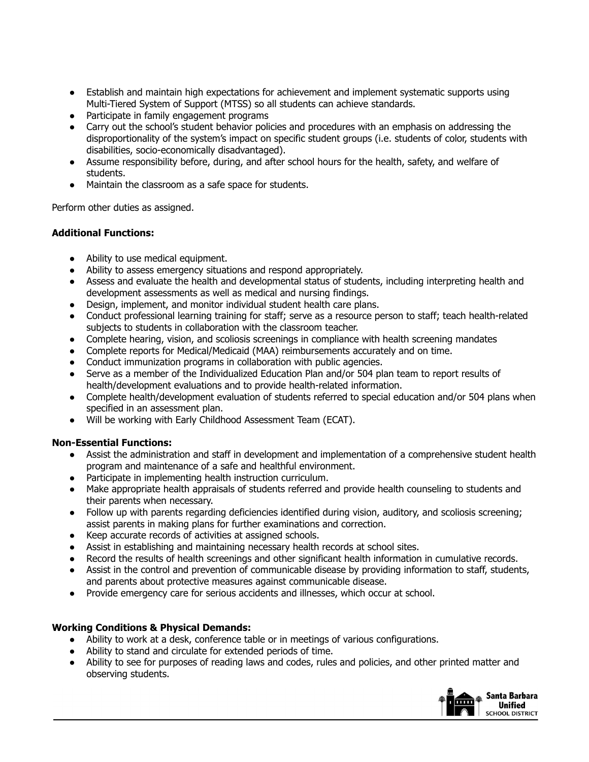- Establish and maintain high expectations for achievement and implement systematic supports using Multi-Tiered System of Support (MTSS) so all students can achieve standards.
- Participate in family engagement programs
- Carry out the school's student behavior policies and procedures with an emphasis on addressing the disproportionality of the system's impact on specific student groups (i.e. students of color, students with disabilities, socio-economically disadvantaged).
- Assume responsibility before, during, and after school hours for the health, safety, and welfare of students.
- Maintain the classroom as a safe space for students.

Perform other duties as assigned.

## **Additional Functions:**

- Ability to use medical equipment.
- Ability to assess emergency situations and respond appropriately.
- Assess and evaluate the health and developmental status of students, including interpreting health and development assessments as well as medical and nursing findings.
- Design, implement, and monitor individual student health care plans.
- Conduct professional learning training for staff; serve as a resource person to staff; teach health-related subjects to students in collaboration with the classroom teacher.
- Complete hearing, vision, and scoliosis screenings in compliance with health screening mandates
- Complete reports for Medical/Medicaid (MAA) reimbursements accurately and on time.
- Conduct immunization programs in collaboration with public agencies.
- Serve as a member of the Individualized Education Plan and/or 504 plan team to report results of health/development evaluations and to provide health-related information.
- Complete health/development evaluation of students referred to special education and/or 504 plans when specified in an assessment plan.
- Will be working with Early Childhood Assessment Team (ECAT).

## **Non-Essential Functions:**

- Assist the administration and staff in development and implementation of a comprehensive student health program and maintenance of a safe and healthful environment.
- Participate in implementing health instruction curriculum.
- Make appropriate health appraisals of students referred and provide health counseling to students and their parents when necessary.
- Follow up with parents regarding deficiencies identified during vision, auditory, and scoliosis screening; assist parents in making plans for further examinations and correction.
- Keep accurate records of activities at assigned schools.
- Assist in establishing and maintaining necessary health records at school sites.
- Record the results of health screenings and other significant health information in cumulative records.
- Assist in the control and prevention of communicable disease by providing information to staff, students, and parents about protective measures against communicable disease.
- Provide emergency care for serious accidents and illnesses, which occur at school.

## **Working Conditions & Physical Demands:**

- Ability to work at a desk, conference table or in meetings of various configurations.
- Ability to stand and circulate for extended periods of time.
- Ability to see for purposes of reading laws and codes, rules and policies, and other printed matter and observing students.